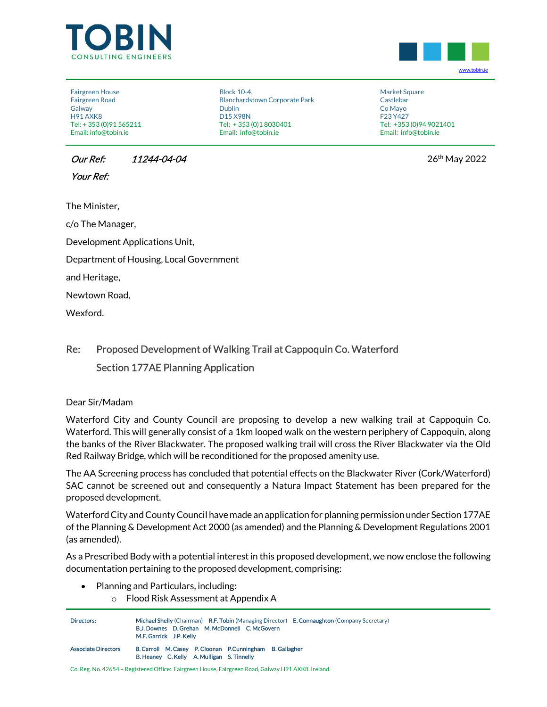



Fairgreen House Fairgreen Road Galway H91 AXK8 Tel: + 353 (0)91 565211 Email: info@tobin.ie

 Block 10-4, Blanchardstown Corporate Park Dublin D15 X98N Tel: + 353 (0)1 8030401 Email: info@tobin.ie

 Market Square Castlebar Co Mayo F23 Y427 Tel: +353 (0)94 9021401 Email: info@tobin.ie

**Our Ref: 11244-04-04** 2022

Your Ref:

The Minister,

c/o The Manager,

Development Applications Unit,

Department of Housing, Local Government

and Heritage,

Newtown Road,

Wexford.

## Re: Proposed Development of Walking Trail at Cappoquin Co. Waterford Section 177AE Planning Application

## Dear Sir/Madam

Waterford City and County Council are proposing to develop a new walking trail at Cappoquin Co. Waterford. This will generally consist of a 1km looped walk on the western periphery of Cappoquin, along the banks of the River Blackwater. The proposed walking trail will cross the River Blackwater via the Old Red Railway Bridge, which will be reconditioned for the proposed amenity use.

The AA Screening process has concluded that potential effects on the Blackwater River (Cork/Waterford) SAC cannot be screened out and consequently a Natura Impact Statement has been prepared for the proposed development.

Waterford City and County Council have made an application for planning permission under Section 177AE of the Planning & Development Act 2000 (as amended) and the Planning & Development Regulations 2001 (as amended).

As a Prescribed Body with a potential interest in this proposed development, we now enclose the following documentation pertaining to the proposed development, comprising:

- Planning and Particulars, including:
	- o Flood Risk Assessment at Appendix A

| Directors:                 | <b>Michael Shelly</b> (Chairman) <b>R.F. Tobin</b> (Managing Director) <b>E. Connaughton</b> (Company Secretary)<br><b>B.J. Downes D. Grehan M. McDonnell C. McGovern</b><br>M.F. Garrick J.P. Kelly |  |
|----------------------------|------------------------------------------------------------------------------------------------------------------------------------------------------------------------------------------------------|--|
| <b>Associate Directors</b> | B. Carroll M. Casey P. Cloonan P. Cunningham B. Gallagher<br>B. Heaney C. Kelly A. Mulligan S. Tinnelly                                                                                              |  |

Co. Reg. No. 42654 – Registered Office: Fairgreen House, Fairgreen Road, Galway H91 AXK8. Ireland.